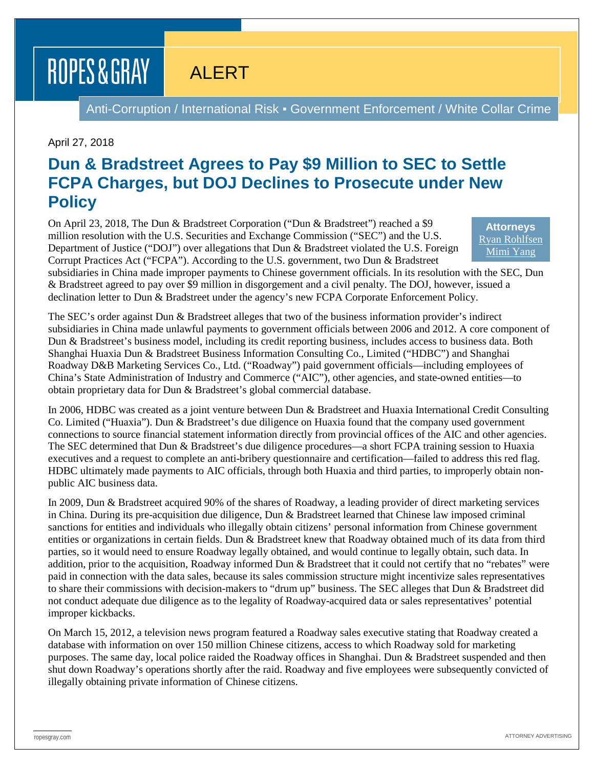# ROPES & GRAY

## ALERT

Anti-Corruption / International Risk . Government Enforcement / White Collar Crime

#### April 27, 2018

## **Dun & Bradstreet Agrees to Pay \$9 Million to SEC to Settle FCPA Charges, but DOJ Declines to Prosecute under New Policy**

On April 23, 2018, The Dun & Bradstreet Corporation ("Dun & Bradstreet") reached a \$9 million resolution with the U.S. Securities and Exchange Commission ("SEC") and the U.S. Department of Justice ("DOJ") over allegations that Dun & Bradstreet violated the U.S. Foreign Corrupt Practices Act ("FCPA"). According to the U.S. government, two Dun & Bradstreet

**Attorneys** [Ryan Rohlfsen](https://www.ropesgray.com/en/biographies/r/ryan-rohlfsen) [Mimi Yang](https://www.ropesgray.com/en/biographies/y/mimi-yang)

subsidiaries in China made improper payments to Chinese government officials. In its resolution with the SEC, Dun & Bradstreet agreed to pay over \$9 million in disgorgement and a civil penalty. The DOJ, however, issued a declination letter to Dun & Bradstreet under the agency's new FCPA Corporate Enforcement Policy.

The SEC's order against Dun & Bradstreet alleges that two of the business information provider's indirect subsidiaries in China made unlawful payments to government officials between 2006 and 2012. A core component of Dun & Bradstreet's business model, including its credit reporting business, includes access to business data. Both Shanghai Huaxia Dun & Bradstreet Business Information Consulting Co., Limited ("HDBC") and Shanghai Roadway D&B Marketing Services Co., Ltd. ("Roadway") paid government officials—including employees of China's State Administration of Industry and Commerce ("AIC"), other agencies, and state-owned entities—to obtain proprietary data for Dun & Bradstreet's global commercial database.

In 2006, HDBC was created as a joint venture between Dun & Bradstreet and Huaxia International Credit Consulting Co. Limited ("Huaxia"). Dun & Bradstreet's due diligence on Huaxia found that the company used government connections to source financial statement information directly from provincial offices of the AIC and other agencies. The SEC determined that Dun & Bradstreet's due diligence procedures—a short FCPA training session to Huaxia executives and a request to complete an anti-bribery questionnaire and certification—failed to address this red flag. HDBC ultimately made payments to AIC officials, through both Huaxia and third parties, to improperly obtain nonpublic AIC business data.

In 2009, Dun & Bradstreet acquired 90% of the shares of Roadway, a leading provider of direct marketing services in China. During its pre-acquisition due diligence, Dun & Bradstreet learned that Chinese law imposed criminal sanctions for entities and individuals who illegally obtain citizens' personal information from Chinese government entities or organizations in certain fields. Dun & Bradstreet knew that Roadway obtained much of its data from third parties, so it would need to ensure Roadway legally obtained, and would continue to legally obtain, such data. In addition, prior to the acquisition, Roadway informed Dun & Bradstreet that it could not certify that no "rebates" were paid in connection with the data sales, because its sales commission structure might incentivize sales representatives to share their commissions with decision-makers to "drum up" business. The SEC alleges that Dun & Bradstreet did not conduct adequate due diligence as to the legality of Roadway-acquired data or sales representatives' potential improper kickbacks.

On March 15, 2012, a television news program featured a Roadway sales executive stating that Roadway created a database with information on over 150 million Chinese citizens, access to which Roadway sold for marketing purposes. The same day, local police raided the Roadway offices in Shanghai. Dun & Bradstreet suspended and then shut down Roadway's operations shortly after the raid. Roadway and five employees were subsequently convicted of illegally obtaining private information of Chinese citizens.